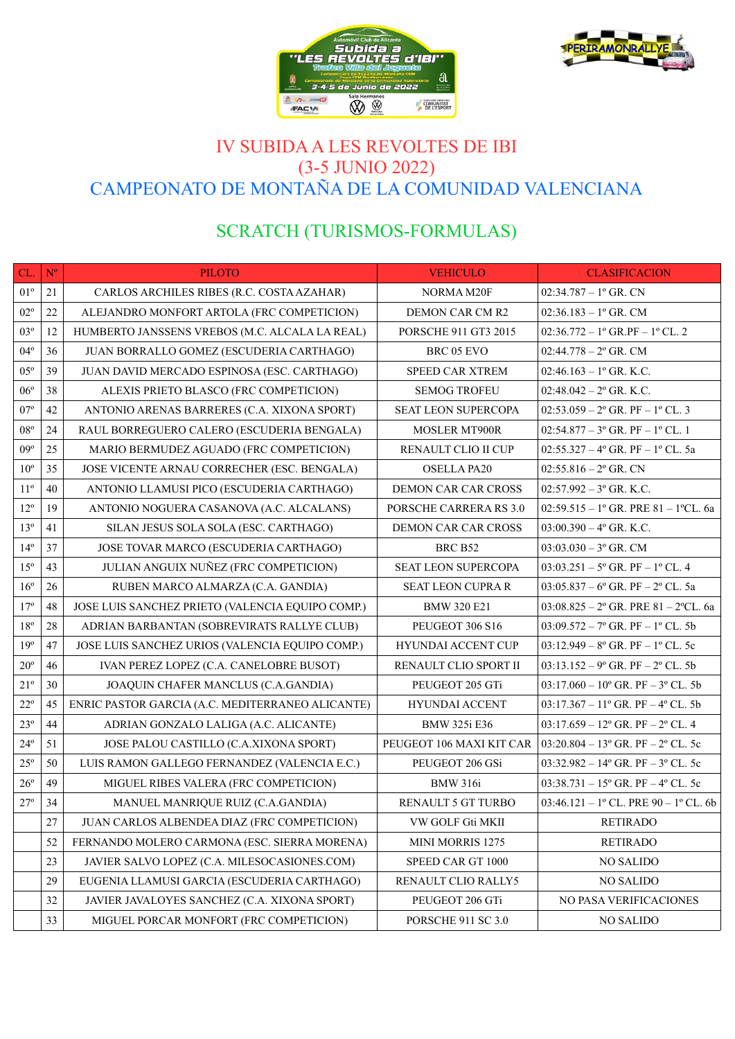



# IV SUBIDA A LES REVOLTES DE IBI (3-5 JUNIO 2022) CAMPEONATO DE MONTAÑA DE LA COMUNIDAD VALENCIANA

# SCRATCH (TURISMOS-FORMULAS)

| CL.          | $\mathbf{N}^{\mathrm{o}}$ | <b>PILOTO</b>                                    | <b>VEHICULO</b>             | <b>CLASIFICACION</b>                                 |
|--------------|---------------------------|--------------------------------------------------|-----------------------------|------------------------------------------------------|
| $01^{\circ}$ | 21                        | CARLOS ARCHILES RIBES (R.C. COSTA AZAHAR)        | NORMA M20F                  | $02:34.787 - 1$ <sup>o</sup> GR. CN                  |
| $02^{\circ}$ | 22                        | ALEJANDRO MONFORT ARTOLA (FRC COMPETICION)       | DEMON CAR CM R2             | $02:36.183 - 1$ <sup>o</sup> GR. CM                  |
| $03^{\circ}$ | 12                        | HUMBERTO JANSSENS VREBOS (M.C. ALCALA LA REAL)   | <b>PORSCHE 911 GT3 2015</b> | $02:36.772 - 1^{\circ}$ GR.PF $- 1^{\circ}$ CL. 2    |
| $04^{\circ}$ | 36                        | JUAN BORRALLO GOMEZ (ESCUDERIA CARTHAGO)         | BRC 05 EVO                  | $02:44.778 - 2^{\circ}$ GR. CM                       |
| $05^{\circ}$ | 39                        | JUAN DAVID MERCADO ESPINOSA (ESC. CARTHAGO)      | <b>SPEED CAR XTREM</b>      | $02:46.163 - 1$ <sup>o</sup> GR. K.C.                |
| $06^{\circ}$ | 38                        | ALEXIS PRIETO BLASCO (FRC COMPETICION)           | <b>SEMOG TROFEU</b>         | $02:48.042 - 2$ <sup>o</sup> GR. K.C.                |
| $07^{\circ}$ | 42                        | ANTONIO ARENAS BARRERES (C.A. XIXONA SPORT)      | SEAT LEON SUPERCOPA         | $02:53.059 - 2^{\circ}$ GR. PF $- 1^{\circ}$ CL. 3   |
| $08^{\circ}$ | 24                        | RAUL BORREGUERO CALERO (ESCUDERIA BENGALA)       | <b>MOSLER MT900R</b>        | $02:54.877 - 3^{\circ}$ GR. PF $- 1^{\circ}$ CL. 1   |
| $09^{\circ}$ | 25                        | MARIO BERMUDEZ AGUADO (FRC COMPETICION)          | RENAULT CLIO II CUP         | 02:55.327 - 4 $\degree$ GR. PF - 1 $\degree$ CL. 5a  |
| $10^{\circ}$ | 35                        | JOSE VICENTE ARNAU CORRECHER (ESC. BENGALA)      | <b>OSELLA PA20</b>          | $02:55.816 - 2^{\circ}$ GR. CN                       |
| $11^{\circ}$ | 40                        | ANTONIO LLAMUSI PICO (ESCUDERIA CARTHAGO)        | <b>DEMON CAR CAR CROSS</b>  | $02:57.992 - 3^{\circ}$ GR. K.C.                     |
| $12^{\circ}$ | 19                        | ANTONIO NOGUERA CASANOVA (A.C. ALCALANS)         | PORSCHE CARRERA RS 3.0      | 02:59.515 - 1º GR. PRE 81 - 1ºCL. 6a                 |
| $13^{\circ}$ | 41                        | SILAN JESUS SOLA SOLA (ESC. CARTHAGO)            | DEMON CAR CAR CROSS         | $03:00.390 - 4^{\circ}$ GR. K.C.                     |
| $14^{\circ}$ | 37                        | JOSE TOVAR MARCO (ESCUDERIA CARTHAGO)            | BRC B52                     | $03:03.030 - 3^{\circ}$ GR. CM                       |
| $15^{\circ}$ | 43                        | JULIAN ANGUIX NUÑEZ (FRC COMPETICION)            | SEAT LEON SUPERCOPA         | $03:03.251 - 5^{\circ}$ GR. PF $- 1^{\circ}$ CL. 4   |
| $16^{\circ}$ | 26                        | RUBEN MARCO ALMARZA (C.A. GANDIA)                | <b>SEAT LEON CUPRA R</b>    | $03:05.837 - 6^{\circ}$ GR. PF $- 2^{\circ}$ CL. 5a  |
| $17^{\circ}$ | 48                        | JOSE LUIS SANCHEZ PRIETO (VALENCIA EQUIPO COMP.) | <b>BMW 320 E21</b>          | $03:08.825 - 2^{\circ}$ GR. PRE 81 - 2°CL. 6a        |
| $18^{\circ}$ | 28                        | ADRIAN BARBANTAN (SOBREVIRATS RALLYE CLUB)       | PEUGEOT 306 S16             | $03:09.572 - 7^{\circ}$ GR. PF $-1^{\circ}$ CL. 5b   |
| $19^{\circ}$ | 47                        | JOSE LUIS SANCHEZ URIOS (VALENCIA EQUIPO COMP.)  | <b>HYUNDAI ACCENT CUP</b>   | $03:12.949 - 8^{\circ}$ GR. PF $-1^{\circ}$ CL. 5c   |
| $20^{\circ}$ | 46                        | IVAN PEREZ LOPEZ (C.A. CANELOBRE BUSOT)          | RENAULT CLIO SPORT II       | $03:13.152 - 9^{\circ}$ GR. PF $- 2^{\circ}$ CL. 5b  |
| $21^{\circ}$ | 30                        | JOAQUIN CHAFER MANCLUS (C.A.GANDIA)              | PEUGEOT 205 GTi             | $03:17.060 - 10^{\circ}$ GR. PF $- 3^{\circ}$ CL. 5b |
| $22^{\circ}$ | 45                        | ENRIC PASTOR GARCIA (A.C. MEDITERRANEO ALICANTE) | <b>HYUNDAI ACCENT</b>       | $03:17.367 - 11^{\circ}$ GR. PF $-4^{\circ}$ CL. 5b  |
| $23^{\circ}$ | 44                        | ADRIAN GONZALO LALIGA (A.C. ALICANTE)            | <b>BMW 325i E36</b>         | $03:17.659 - 12^{\circ}$ GR. PF $- 2^{\circ}$ CL. 4  |
| $24^{\circ}$ | 51                        | JOSE PALOU CASTILLO (C.A.XIXONA SPORT)           | PEUGEOT 106 MAXI KIT CAR    | $\vert$ 03:20.804 – 13° GR. PF – 2° CL. 5c           |
| $25^{\circ}$ | 50                        | LUIS RAMON GALLEGO FERNANDEZ (VALENCIA E.C.)     | PEUGEOT 206 GSi             | $03:32.982 - 14^{\circ}$ GR. PF $- 3^{\circ}$ CL. 5c |
| $26^{\circ}$ | 49                        | MIGUEL RIBES VALERA (FRC COMPETICION)            | <b>BMW 316i</b>             | $03:38.731 - 15^{\circ}$ GR. PF $-4^{\circ}$ CL. 5c  |
| $27^{\circ}$ | 34                        | MANUEL MANRIQUE RUIZ (C.A.GANDIA)                | RENAULT 5 GT TURBO          | 03:46.121 - 1° CL. PRE 90 - 1° CL. 6b                |
|              | 27                        | JUAN CARLOS ALBENDEA DIAZ (FRC COMPETICION)      | VW GOLF Gti MKII            | <b>RETIRADO</b>                                      |
|              | 52                        | FERNANDO MOLERO CARMONA (ESC. SIERRA MORENA)     | MINI MORRIS 1275            | <b>RETIRADO</b>                                      |
|              | 23                        | JAVIER SALVO LOPEZ (C.A. MILESOCASIONES.COM)     | SPEED CAR GT 1000           | <b>NO SALIDO</b>                                     |
|              | 29                        | EUGENIA LLAMUSI GARCIA (ESCUDERIA CARTHAGO)      | RENAULT CLIO RALLY5         | <b>NO SALIDO</b>                                     |
|              | 32                        | JAVIER JAVALOYES SANCHEZ (C.A. XIXONA SPORT)     | PEUGEOT 206 GTi             | NO PASA VERIFICACIONES                               |
|              | 33                        | MIGUEL PORCAR MONFORT (FRC COMPETICION)          | <b>PORSCHE 911 SC 3.0</b>   | NO SALIDO                                            |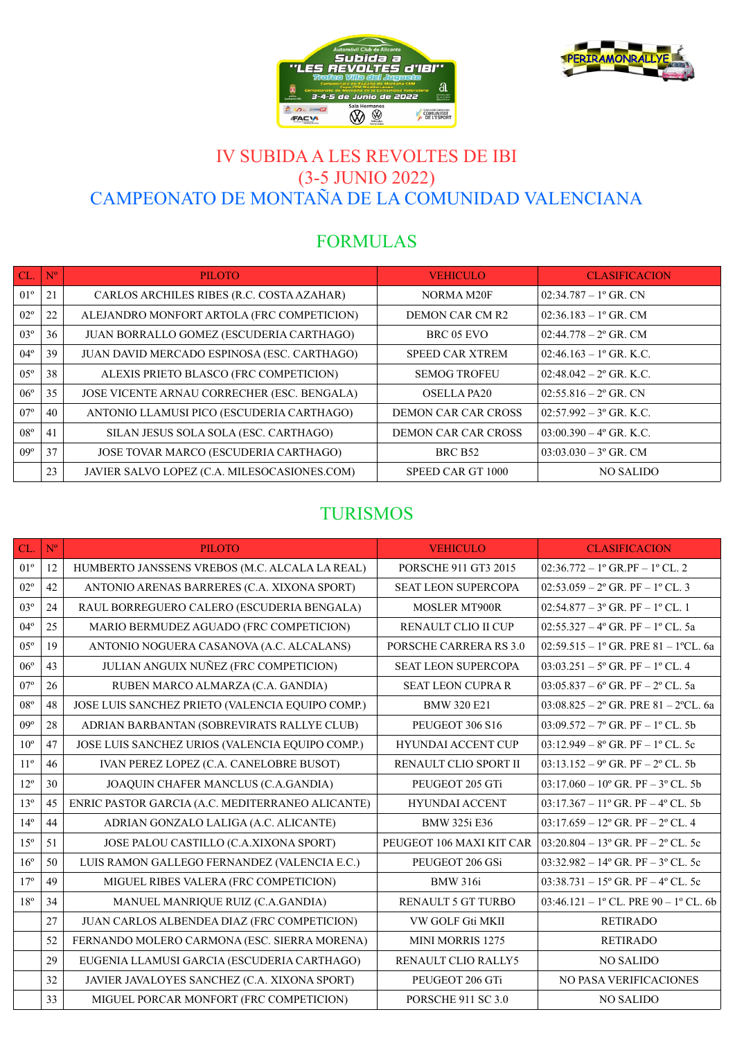



## IV SUBIDA A LES REVOLTES DE IBI (3-5 JUNIO 2022) CAMPEONATO DE MONTAÑA DE LA COMUNIDAD VALENCIANA

# FORMULAS

| CL.             | $N^{o}$ | <b>PILOTO</b>                                | <b>VEHICULO</b>            | <b>CLASIFICACION</b>                  |
|-----------------|---------|----------------------------------------------|----------------------------|---------------------------------------|
| 01 <sup>°</sup> | 21      | CARLOS ARCHILES RIBES (R.C. COSTA AZAHAR)    | NORMA M20F                 | $02:34.787 - 1$ <sup>o</sup> GR. CN   |
| $02^{\circ}$    | 22      | ALEJANDRO MONFORT ARTOLA (FRC COMPETICION)   | DEMON CAR CM R2            | $02:36.183 - 1$ <sup>o</sup> GR. CM   |
| $03^{\circ}$    | 36      | JUAN BORRALLO GOMEZ (ESCUDERIA CARTHAGO)     | BRC 05 EVO                 | $02:44.778 - 2$ ° GR. CM              |
| $04^{\circ}$    | 39      | JUAN DAVID MERCADO ESPINOSA (ESC. CARTHAGO)  | <b>SPEED CAR XTREM</b>     | $02:46.163 - 1$ <sup>o</sup> GR. K.C. |
| $05^{\circ}$    | 38      | ALEXIS PRIETO BLASCO (FRC COMPETICION)       | <b>SEMOG TROFEU</b>        | $02:48.042 - 2^{\circ}$ GR, K.C.      |
| $06^{\circ}$    | 35      | JOSE VICENTE ARNAU CORRECHER (ESC. BENGALA)  | <b>OSELLA PA20</b>         | $02:55.816 - 2^{\circ}$ GR. CN        |
| $07^{\circ}$    | 40      | ANTONIO LLAMUSI PICO (ESCUDERIA CARTHAGO)    | <b>DEMON CAR CAR CROSS</b> | $02:57.992 - 3^{\circ}$ GR. K.C.      |
| $08^{\circ}$    | 41      | SILAN JESUS SOLA SOLA (ESC. CARTHAGO)        | <b>DEMON CAR CAR CROSS</b> | $03:00.390 - 4^{\circ}$ GR. K.C.      |
| $09^\circ$      | 37      | JOSE TOVAR MARCO (ESCUDERIA CARTHAGO)        | <b>BRC B52</b>             | $03:03.030 - 3^{\circ}$ GR. CM        |
|                 | 23      | JAVIER SALVO LOPEZ (C.A. MILESOCASIONES.COM) | SPEED CAR GT 1000          | <b>NO SALIDO</b>                      |

#### TURISMOS

| CL.             | $\mathbf{N}^{\mathrm{o}}$ | <b>PILOTO</b>                                    | <b>VEHICULO</b>               | <b>CLASIFICACION</b>                                 |
|-----------------|---------------------------|--------------------------------------------------|-------------------------------|------------------------------------------------------|
| $01^{\circ}$    | 12                        | HUMBERTO JANSSENS VREBOS (M.C. ALCALA LA REAL)   | PORSCHE 911 GT3 2015          | $02:36.772 - 1^{\circ}$ GR.PF $- 1^{\circ}$ CL. 2    |
| $02^{\circ}$    | 42                        | ANTONIO ARENAS BARRERES (C.A. XIXONA SPORT)      | <b>SEAT LEON SUPERCOPA</b>    | 02:53.059 - $2^{\circ}$ GR. PF - $1^{\circ}$ CL. 3   |
| $03^{\circ}$    | 24                        | RAUL BORREGUERO CALERO (ESCUDERIA BENGALA)       | MOSLER MT900R                 | 02:54.877 - $3^{\circ}$ GR. PF - $1^{\circ}$ CL. 1   |
| $04^{\circ}$    | 25                        | MARIO BERMUDEZ AGUADO (FRC COMPETICION)          | RENAULT CLIO II CUP           | 02:55.327 - $4^{\circ}$ GR. PF - $1^{\circ}$ CL. 5a  |
| $0.5^\circ$     | 19                        | ANTONIO NOGUERA CASANOVA (A.C. ALCALANS)         | <b>PORSCHE CARRERA RS 3.0</b> | 02:59.515 - 1º GR. PRE 81 - 1ºCL. 6a                 |
| $06^{\circ}$    | 43                        | JULIAN ANGUIX NUÑEZ (FRC COMPETICION)            | <b>SEAT LEON SUPERCOPA</b>    | $03:03.251 - 5^{\circ}$ GR, PF $- 1^{\circ}$ CL, 4   |
| $07^{\circ}$    | 26                        | RUBEN MARCO ALMARZA (C.A. GANDIA)                | <b>SEAT LEON CUPRA R</b>      | $03:05.837 - 6^{\circ}$ GR. PF $- 2^{\circ}$ CL. 5a  |
| $08^{\circ}$    | 48                        | JOSE LUIS SANCHEZ PRIETO (VALENCIA EQUIPO COMP.) | <b>BMW 320 E21</b>            | $03:08.825 - 2^{\circ}$ GR. PRE 81 - 2°CL. 6a        |
| $09^\circ$      | 28                        | ADRIAN BARBANTAN (SOBREVIRATS RALLYE CLUB)       | PEUGEOT 306 S16               | $03:09.572 - 7^{\circ}$ GR. PF $-1^{\circ}$ CL. 5b   |
| $10^{\circ}$    | 47                        | JOSE LUIS SANCHEZ URIOS (VALENCIA EQUIPO COMP.)  | HYUNDAI ACCENT CUP            | $03:12.949 - 8^{\circ}$ GR, PF $-1^{\circ}$ CL, 5c   |
| $11^{\circ}$    | 46                        | IVAN PEREZ LOPEZ (C.A. CANELOBRE BUSOT)          | RENAULT CLIO SPORT II         | $03:13.152 - 9^{\circ}$ GR. PF $- 2^{\circ}$ CL. 5b  |
| $12^{\circ}$    | 30                        | JOAQUIN CHAFER MANCLUS (C.A.GANDIA)              | PEUGEOT 205 GTi               | $03:17.060 - 10^{\circ}$ GR. PF $- 3^{\circ}$ CL. 5b |
| $13^{\circ}$    | 45                        | ENRIC PASTOR GARCIA (A.C. MEDITERRANEO ALICANTE) | <b>HYUNDAI ACCENT</b>         | $03:17.367 - 11^{\circ}$ GR. PF $-4^{\circ}$ CL. 5b  |
| $14^{\circ}$    | 44                        | ADRIAN GONZALO LALIGA (A.C. ALICANTE)            | <b>BMW 325i E36</b>           | $03:17.659 - 12^{\circ}$ GR. PF $- 2^{\circ}$ CL. 4  |
| 15 <sup>o</sup> | 51                        | JOSE PALOU CASTILLO (C.A.XIXONA SPORT)           | PEUGEOT 106 MAXI KIT CAR      | $03:20.804 - 13^{\circ}$ GR, PF $- 2^{\circ}$ CL, 5c |
| $16^{\circ}$    | 50                        | LUIS RAMON GALLEGO FERNANDEZ (VALENCIA E.C.)     | PEUGEOT 206 GSi               | $03:32.982 - 14^{\circ}$ GR. PF $- 3^{\circ}$ CL. 5c |
| 17 <sup>°</sup> | 49                        | MIGUEL RIBES VALERA (FRC COMPETICION)            | <b>BMW</b> 316i               | $03:38.731 - 15^{\circ}$ GR, PF $-4^{\circ}$ CL, 5c  |
| $18^{\circ}$    | 34                        | MANUEL MANRIQUE RUIZ (C.A.GANDIA)                | <b>RENAULT 5 GT TURBO</b>     | $03:46.121 - 1$ ° CL. PRE 90 - 1° CL. 6b             |
|                 | 27                        | JUAN CARLOS ALBENDEA DIAZ (FRC COMPETICION)      | VW GOLF Gti MKII              | <b>RETIRADO</b>                                      |
|                 | 52                        | FERNANDO MOLERO CARMONA (ESC. SIERRA MORENA)     | <b>MINI MORRIS 1275</b>       | <b>RETIRADO</b>                                      |
|                 | 29                        | EUGENIA LLAMUSI GARCIA (ESCUDERIA CARTHAGO)      | RENAULT CLIO RALLY5           | <b>NO SALIDO</b>                                     |
|                 | 32                        | JAVIER JAVALOYES SANCHEZ (C.A. XIXONA SPORT)     | PEUGEOT 206 GTi               | <b>NO PASA VERIFICACIONES</b>                        |
|                 | 33                        | MIGUEL PORCAR MONFORT (FRC COMPETICION)          | <b>PORSCHE 911 SC 3.0</b>     | <b>NO SALIDO</b>                                     |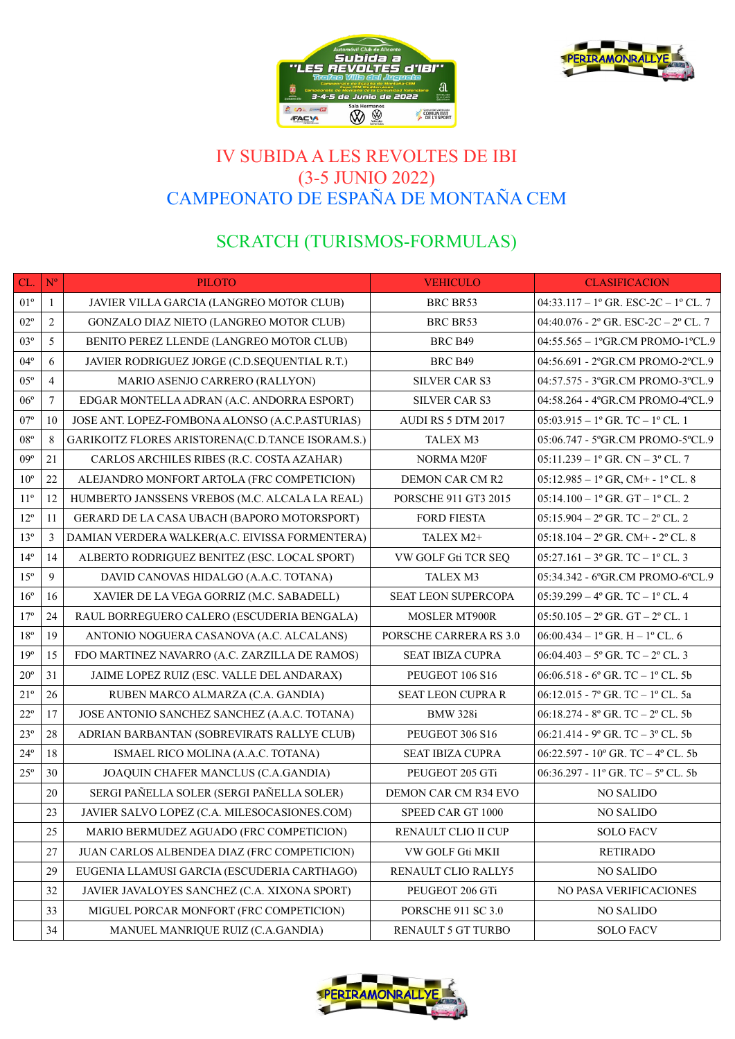



### IV SUBIDA A LES REVOLTES DE IBI (3-5 JUNIO 2022) CAMPEONATO DE ESPAÑA DE MONTAÑA CEM

# SCRATCH (TURISMOS-FORMULAS)

| CL.             | $\mathbf{N}^{\mathrm{o}}$ | <b>PILOTO</b>                                    | <b>VEHICULO</b>           | <b>CLASIFICACION</b>                                         |
|-----------------|---------------------------|--------------------------------------------------|---------------------------|--------------------------------------------------------------|
| $01^{\circ}$    | $\mathbf{1}$              | JAVIER VILLA GARCIA (LANGREO MOTOR CLUB)         | BRC BR53                  | $04:33.117 - 1^{\circ}$ GR. ESC-2C - 1° CL. 7                |
| $02^{\circ}$    | $\overline{2}$            | GONZALO DIAZ NIETO (LANGREO MOTOR CLUB)          | <b>BRC BR53</b>           | 04:40.076 - 2° GR. ESC-2C - 2° CL. 7                         |
| $03^{\circ}$    | 5                         | BENITO PEREZ LLENDE (LANGREO MOTOR CLUB)         | BRC B49                   | 04:55.565 - 1°GR.CM PROMO-1°CL.9                             |
| $04^{\circ}$    | 6                         | JAVIER RODRIGUEZ JORGE (C.D.SEQUENTIAL R.T.)     | BRC B49                   | 04:56.691 - 2°GR.CM PROMO-2°CL.9                             |
| $05^{\circ}$    | $\overline{4}$            | MARIO ASENJO CARRERO (RALLYON)                   | <b>SILVER CAR S3</b>      | 04:57.575 - 3°GR.CM PROMO-3°CL.9                             |
| $06^{\circ}$    | $\tau$                    | EDGAR MONTELLA ADRAN (A.C. ANDORRA ESPORT)       | SILVER CAR S3             | 04:58.264 - 4°GR.CM PROMO-4°CL.9                             |
| $07^{\circ}$    | 10                        | JOSE ANT. LOPEZ-FOMBONA ALONSO (A.C.P.ASTURIAS)  | AUDI RS 5 DTM 2017        | $05:03.915 - 1^{\circ}$ GR. TC $- 1^{\circ}$ CL. 1           |
| $08^{\circ}$    | 8                         | GARIKOITZ FLORES ARISTORENA(C.D.TANCE ISORAM.S.) | TALEX M3                  | 05:06.747 - 5°GR.CM PROMO-5°CL.9                             |
| $09^{\circ}$    | 21                        | CARLOS ARCHILES RIBES (R.C. COSTA AZAHAR)        | NORMA M20F                | $05:11.239 - 1$ <sup>o</sup> GR. CN - $3$ <sup>o</sup> CL. 7 |
| $10^{\circ}$    | 22                        | ALEJANDRO MONFORT ARTOLA (FRC COMPETICION)       | DEMON CAR CM R2           | $05:12.985 - 1^{\circ}$ GR, CM+ - 1° CL. 8                   |
| $11^{\circ}$    | 12                        | HUMBERTO JANSSENS VREBOS (M.C. ALCALA LA REAL)   | PORSCHE 911 GT3 2015      | $05:14.100 - 1$ <sup>o</sup> GR. GT - 1 <sup>o</sup> CL. 2   |
| $12^{\circ}$    | 11                        | GERARD DE LA CASA UBACH (BAPORO MOTORSPORT)      | <b>FORD FIESTA</b>        | $05:15.904 - 2^{\circ}$ GR. TC $- 2^{\circ}$ CL. 2           |
| $13^{\circ}$    | 3                         | DAMIAN VERDERA WALKER(A.C. EIVISSA FORMENTERA)   | TALEX M2+                 | $05:18.104 - 2^{\circ}$ GR. CM+ - $2^{\circ}$ CL. 8          |
| $14^{\circ}$    | 14                        | ALBERTO RODRIGUEZ BENITEZ (ESC. LOCAL SPORT)     | VW GOLF Gti TCR SEQ       | $05:27.161 - 3^{\circ}$ GR. TC $- 1^{\circ}$ CL. 3           |
| $15^{\circ}$    | 9                         | DAVID CANOVAS HIDALGO (A.A.C. TOTANA)            | TALEX M3                  | 05:34.342 - 6°GR.CM PROMO-6°CL.9                             |
| $16^{\circ}$    | 16                        | XAVIER DE LA VEGA GORRIZ (M.C. SABADELL)         | SEAT LEON SUPERCOPA       | $05:39.299 - 4^{\circ}$ GR. TC $- 1^{\circ}$ CL. 4           |
| $17^{\circ}$    | 24                        | RAUL BORREGUERO CALERO (ESCUDERIA BENGALA)       | <b>MOSLER MT900R</b>      | $05:50.105 - 2^{\circ}$ GR. GT $- 2^{\circ}$ CL. 1           |
| $18^{\circ}$    | 19                        | ANTONIO NOGUERA CASANOVA (A.C. ALCALANS)         | PORSCHE CARRERA RS 3.0    | 06:00.434 - 1° GR. H - 1° CL. 6                              |
| 19 <sup>°</sup> | 15                        | FDO MARTINEZ NAVARRO (A.C. ZARZILLA DE RAMOS)    | <b>SEAT IBIZA CUPRA</b>   | $06:04.403 - 5^{\circ}$ GR. TC $- 2^{\circ}$ CL. 3           |
| $20^{\circ}$    | 31                        | JAIME LOPEZ RUIZ (ESC. VALLE DEL ANDARAX)        | PEUGEOT 106 S16           | $06:06.518 - 6^{\circ}$ GR. TC $- 1^{\circ}$ CL. 5b          |
| $21^{\circ}$    | 26                        | RUBEN MARCO ALMARZA (C.A. GANDIA)                | <b>SEAT LEON CUPRA R</b>  | 06:12.015 - 7º GR. TC - 1º CL. 5a                            |
| $22^{\circ}$    | 17                        | JOSE ANTONIO SANCHEZ SANCHEZ (A.A.C. TOTANA)     | <b>BMW 328i</b>           | $06:18.274 - 8^{\circ}$ GR. TC $- 2^{\circ}$ CL. 5b          |
| $23^{\circ}$    | 28                        | ADRIAN BARBANTAN (SOBREVIRATS RALLYE CLUB)       | PEUGEOT 306 S16           | $06:21.414 - 9^{\circ}$ GR. TC $- 3^{\circ}$ CL. 5b          |
| $24^{\circ}$    | 18                        | ISMAEL RICO MOLINA (A.A.C. TOTANA)               | <b>SEAT IBIZA CUPRA</b>   | 06:22.597 - 10° GR. TC - 4° CL. 5b                           |
| $25^{\circ}$    | 30                        | JOAQUIN CHAFER MANCLUS (C.A.GANDIA)              | PEUGEOT 205 GTi           | 06:36.297 - 11° GR. TC – $5^{\circ}$ CL. 5b                  |
|                 | 20                        | SERGI PAÑELLA SOLER (SERGI PAÑELLA SOLER)        | DEMON CAR CM R34 EVO      | <b>NO SALIDO</b>                                             |
|                 | 23                        | JAVIER SALVO LOPEZ (C.A. MILESOCASIONES.COM)     | SPEED CAR GT 1000         | <b>NO SALIDO</b>                                             |
|                 | 25                        | MARIO BERMUDEZ AGUADO (FRC COMPETICION)          | RENAULT CLIO II CUP       | <b>SOLO FACV</b>                                             |
|                 | 27                        | JUAN CARLOS ALBENDEA DIAZ (FRC COMPETICION)      | VW GOLF Gti MKII          | <b>RETIRADO</b>                                              |
|                 | 29                        | EUGENIA LLAMUSI GARCIA (ESCUDERIA CARTHAGO)      | RENAULT CLIO RALLY5       | NO SALIDO                                                    |
|                 | 32                        | JAVIER JAVALOYES SANCHEZ (C.A. XIXONA SPORT)     | PEUGEOT 206 GTi           | NO PASA VERIFICACIONES                                       |
|                 | 33                        | MIGUEL PORCAR MONFORT (FRC COMPETICION)          | <b>PORSCHE 911 SC 3.0</b> | <b>NO SALIDO</b>                                             |
|                 | 34                        | MANUEL MANRIQUE RUIZ (C.A.GANDIA)                | RENAULT 5 GT TURBO        | <b>SOLO FACV</b>                                             |

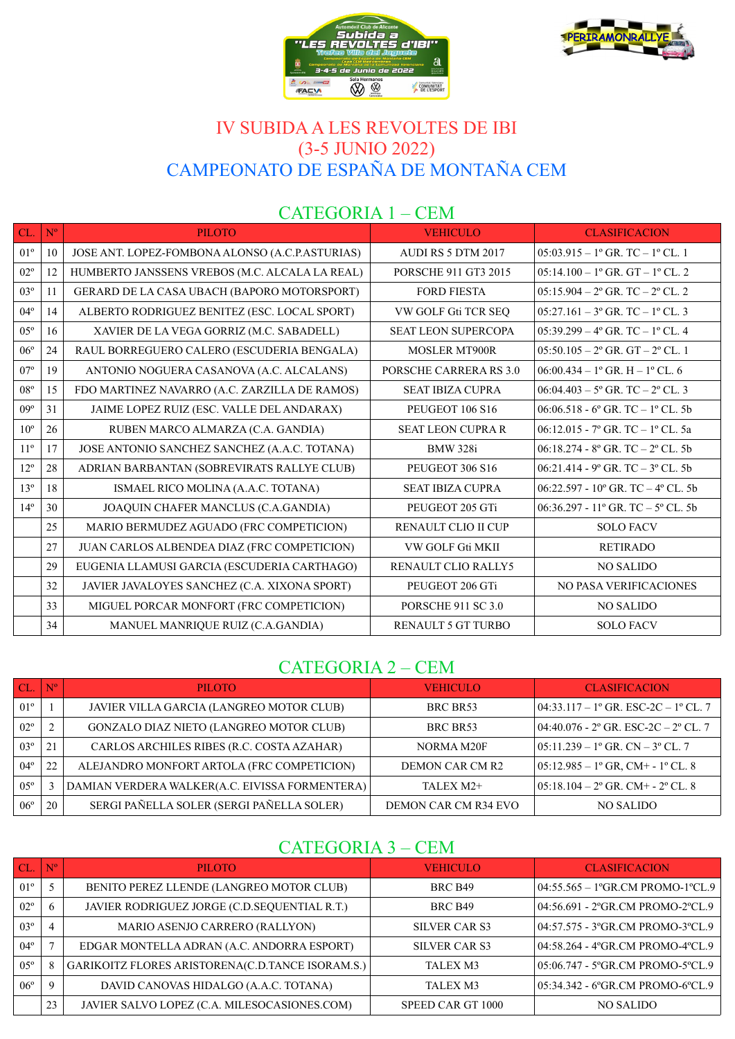



## IV SUBIDA A LES REVOLTES DE IBI (3-5 JUNIO 2022) CAMPEONATO DE ESPAÑA DE MONTAÑA CEM

#### CATEGORIA 1 – CEM

| CL.             | $N^{o}$ | <b>PILOTO</b>                                   | <b>VEHICULO</b>             | <b>CLASIFICACION</b>                                         |
|-----------------|---------|-------------------------------------------------|-----------------------------|--------------------------------------------------------------|
| $01^{\circ}$    | 10      | JOSE ANT. LOPEZ-FOMBONA ALONSO (A.C.P.ASTURIAS) | AUDI RS 5 DTM 2017          | $05:03.915 - 1$ <sup>o</sup> GR. TC $- 1$ <sup>o</sup> CL. 1 |
| $02^{\circ}$    | 12      | HUMBERTO JANSSENS VREBOS (M.C. ALCALA LA REAL)  | <b>PORSCHE 911 GT3 2015</b> | $05:14.100 - 1$ <sup>o</sup> GR. GT - 1 <sup>o</sup> CL. 2   |
| $03^{\circ}$    | 11      | GERARD DE LA CASA UBACH (BAPORO MOTORSPORT)     | <b>FORD FIESTA</b>          | $05:15.904 - 2^{\circ}$ GR. TC $- 2^{\circ}$ CL. 2           |
| $04^{\circ}$    | 14      | ALBERTO RODRIGUEZ BENITEZ (ESC. LOCAL SPORT)    | VW GOLF Gti TCR SEQ         | $05:27.161 - 3^{\circ}$ GR. TC $- 1^{\circ}$ CL. 3           |
| $0.5^\circ$     | 16      | XAVIER DE LA VEGA GORRIZ (M.C. SABADELL)        | <b>SEAT LEON SUPERCOPA</b>  | $05:39.299 - 4^{\circ}$ GR, TC $- 1^{\circ}$ CL, 4           |
| $06^{\circ}$    | 24      | RAUL BORREGUERO CALERO (ESCUDERIA BENGALA)      | <b>MOSLER MT900R</b>        | $05:50.105 - 2^{\circ}$ GR, GT $- 2^{\circ}$ CL, 1           |
| 07 <sup>°</sup> | 19      | ANTONIO NOGUERA CASANOVA (A.C. ALCALANS)        | PORSCHE CARRERA RS 3.0      | $06:00.434 - 1^{\circ}$ GR. H $- 1^{\circ}$ CL. 6            |
| $08^{\circ}$    | 15      | FDO MARTINEZ NAVARRO (A.C. ZARZILLA DE RAMOS)   | <b>SEAT IBIZA CUPRA</b>     | $06:04.403 - 5^{\circ}$ GR, TC $- 2^{\circ}$ CL, 3           |
| $09^\circ$      | 31      | JAIME LOPEZ RUIZ (ESC. VALLE DEL ANDARAX)       | PEUGEOT 106 S16             | 06:06.518 - 6° GR. TC - 1° CL. 5b                            |
| 10 <sup>o</sup> | 26      | RUBEN MARCO ALMARZA (C.A. GANDIA)               | <b>SEAT LEON CUPRA R</b>    | 06:12.015 - 7° GR. TC - 1° CL. 5a                            |
| $11^{\circ}$    | 17      | JOSE ANTONIO SANCHEZ SANCHEZ (A.A.C. TOTANA)    | <b>BMW</b> 328i             | $06:18.274 - 8^{\circ}$ GR. TC $- 2^{\circ}$ CL. 5b          |
| $12^{\circ}$    | 28      | ADRIAN BARBANTAN (SOBREVIRATS RALLYE CLUB)      | PEUGEOT 306 S16             | $06:21.414 - 9$ ° GR. TC $- 3$ ° CL. 5b                      |
| 13 <sup>°</sup> | 18      | ISMAEL RICO MOLINA (A.A.C. TOTANA)              | <b>SEAT IBIZA CUPRA</b>     | $06:22.597 - 10^{\circ}$ GR, TC $-4^{\circ}$ CL, 5b          |
| 14 <sup>°</sup> | 30      | JOAQUIN CHAFER MANCLUS (C.A.GANDIA)             | PEUGEOT 205 GTi             | 06:36.297 - 11° GR. TC – $5^{\circ}$ CL. 5b                  |
|                 | 25      | MARIO BERMUDEZ AGUADO (FRC COMPETICION)         | RENAULT CLIO II CUP         | <b>SOLO FACV</b>                                             |
|                 | 27      | JUAN CARLOS ALBENDEA DIAZ (FRC COMPETICION)     | VW GOLF Gti MKII            | <b>RETIRADO</b>                                              |
|                 | 29      | EUGENIA LLAMUSI GARCIA (ESCUDERIA CARTHAGO)     | <b>RENAULT CLIO RALLY5</b>  | <b>NO SALIDO</b>                                             |
|                 | 32      | JAVIER JAVALOYES SANCHEZ (C.A. XIXONA SPORT)    | PEUGEOT 206 GTi             | <b>NO PASA VERIFICACIONES</b>                                |
|                 | 33      | MIGUEL PORCAR MONFORT (FRC COMPETICION)         | <b>PORSCHE 911 SC 3.0</b>   | <b>NO SALIDO</b>                                             |
|                 | 34      | MANUEL MANRIQUE RUIZ (C.A.GANDIA)               | RENAULT 5 GT TURBO          | <b>SOLO FACV</b>                                             |

#### CATEGORIA 2 – CEM

|              | $N^{\circ}$ | <b>PILOTO</b>                                  | <b>VEHICULO</b>      | <b>CLASIFICACION</b>                                       |
|--------------|-------------|------------------------------------------------|----------------------|------------------------------------------------------------|
| $01^{\circ}$ |             | JAVIER VILLA GARCIA (LANGREO MOTOR CLUB)       | BRC BR53             | $04:33.117 - 1^{\circ}$ GR. ESC-2C - 1° CL. 7              |
| $02^{\circ}$ |             | <b>GONZALO DIAZ NIETO (LANGREO MOTOR CLUB)</b> | BRC BR53             | $ 04:40.076 - 2^{\circ}$ GR. ESC-2C – 2° CL. 7             |
| $03^{\circ}$ | 21          | CARLOS ARCHILES RIBES (R.C. COSTA AZAHAR)      | NORMA M20F           | $05:11.239 - 1$ <sup>o</sup> GR. CN – 3 <sup>o</sup> CL. 7 |
| $04^{\circ}$ | 22          | ALEJANDRO MONFORT ARTOLA (FRC COMPETICION)     | DEMON CAR CM R2      | $05:12.985 - 1^{\circ}$ GR, CM+ - 1° CL. 8                 |
| $05^{\circ}$ |             | DAMIAN VERDERA WALKER(A.C. EIVISSA FORMENTERA) | TALEX M2+            | $05:18.104 - 2^{\circ}$ GR. CM+ - 2° CL. 8                 |
| $06^{\circ}$ | 20          | SERGI PAÑELLA SOLER (SERGI PAÑELLA SOLER)      | DEMON CAR CM R34 EVO | NO SALIDO                                                  |

### CATEGORIA 3 – CEM

|              | $N^{o}$     | <b>PILOTO</b>                                    | <b>VEHICULO</b>   | <b>CLASIFICACION</b>             |
|--------------|-------------|--------------------------------------------------|-------------------|----------------------------------|
| $01^{\circ}$ |             | BENITO PEREZ LLENDE (LANGREO MOTOR CLUB)         | BRC B49           | 04:55.565 - 1°GR.CM PROMO-1°CL.9 |
| $02^{\circ}$ | 6           | JAVIER RODRIGUEZ JORGE (C.D.SEQUENTIAL R.T.)     | BRC B49           | 04:56.691 - 2ºGR.CM PROMO-2ºCL.9 |
| $03^{\circ}$ | 4           | MARIO ASENJO CARRERO (RALLYON)                   | SILVER CAR S3     | 04:57.575 - 3ºGR.CM PROMO-3ºCL.9 |
| $04^{\circ}$ |             | EDGAR MONTELLA ADRAN (A.C. ANDORRA ESPORT)       | SILVER CAR S3     | 04:58.264 - 4ºGR.CM PROMO-4ºCL.9 |
| $05^{\circ}$ |             | GARIKOITZ FLORES ARISTORENA(C.D.TANCE ISORAM.S.) | TALEX M3          | 05:06.747 - 5°GR.CM PROMO-5°CL.9 |
| 06°          | $\mathbf Q$ | DAVID CANOVAS HIDALGO (A.A.C. TOTANA)            | TALEX M3          | 05:34.342 - 6°GR.CM PROMO-6°CL.9 |
|              | 23          | JAVIER SALVO LOPEZ (C.A. MILESOCASIONES.COM)     | SPEED CAR GT 1000 | NO SALIDO                        |